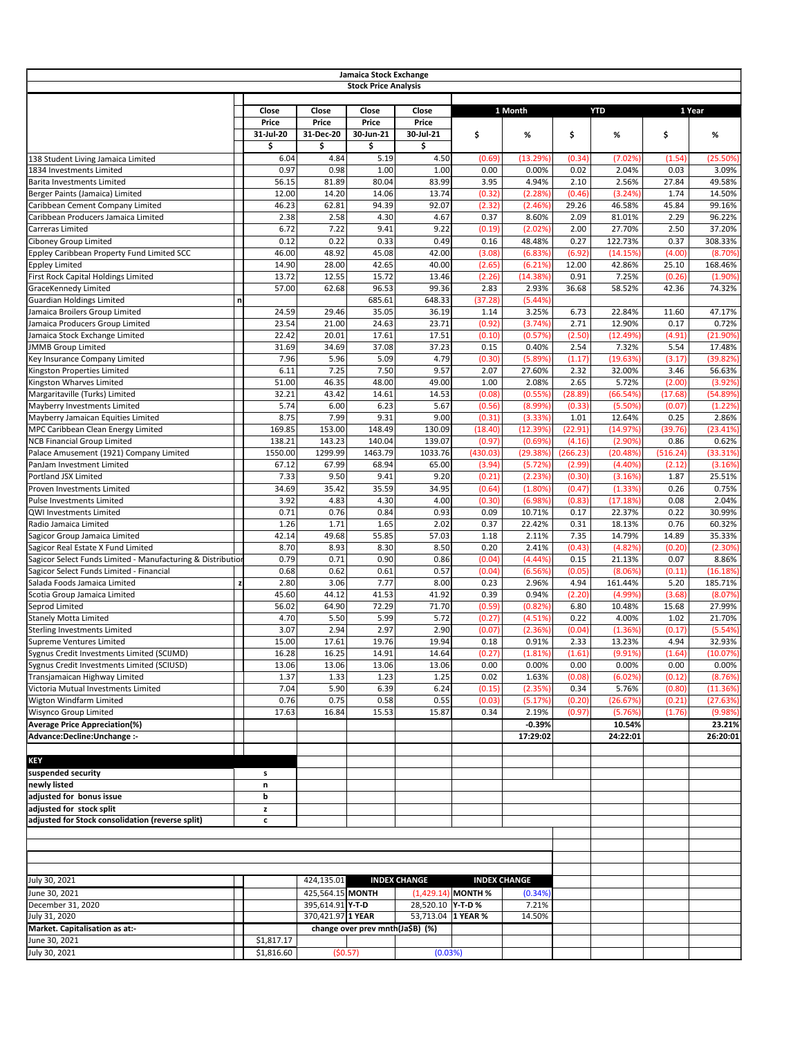|                                                                          |                       |                                       | Jamaica Stock Exchange<br><b>Stock Price Analysis</b> |                                                |                      |                     |                   |                        |                 |                   |
|--------------------------------------------------------------------------|-----------------------|---------------------------------------|-------------------------------------------------------|------------------------------------------------|----------------------|---------------------|-------------------|------------------------|-----------------|-------------------|
|                                                                          |                       |                                       |                                                       |                                                |                      |                     |                   |                        |                 |                   |
|                                                                          | <b>Close</b><br>Price | Close<br><b>Price</b>                 | Close<br><b>Price</b>                                 | Close<br><b>Price</b>                          |                      | 1 Month             |                   | <b>YTD</b>             |                 | 1 Year            |
|                                                                          | 31-Jul-20             | 31-Dec-20                             | 30-Jun-21                                             | 30-Jul-21                                      | \$                   | %                   | \$                | %                      | \$              | %                 |
|                                                                          | Ś                     | \$                                    | \$                                                    | \$                                             |                      |                     |                   |                        |                 |                   |
| 138 Student Living Jamaica Limited                                       | 6.04                  | 4.84                                  | 5.19                                                  | 4.50                                           | (0.69)               | (13.29%             | (0.34)            | (7.02%                 | (1.54)          | $(25.50\%)$       |
| 1834 Investments Limited                                                 | 0.97                  | 0.98                                  | 1.00                                                  | 1.00                                           | 0.00                 | 0.00%               | 0.02              | 2.04%                  | 0.03            | 3.09%             |
| Barita Investments Limited                                               | 56.15                 | 81.89                                 | 80.04                                                 | 83.99                                          | 3.95                 | 4.94%               | 2.10              | 2.56%                  | 27.84           | 49.58%            |
| Berger Paints (Jamaica) Limited                                          | 12.00                 | 14.20                                 | 14.06                                                 | 13.74                                          | (0.32)               | (2.28%              | (0.46)            | (3.24%                 | 1.74            | 14.50%            |
| Caribbean Cement Company Limited                                         | 46.23                 | 62.81                                 | 94.39                                                 | 92.07                                          | (2.32)               | (2.46%)             | 29.26             | 46.58%                 | 45.84           | 99.16%            |
| Caribbean Producers Jamaica Limited                                      | 2.38                  | 2.58                                  | 4.30                                                  | 4.67                                           | 0.37                 | 8.60%               | 2.09              | 81.01%                 | 2.29            | 96.22%            |
| <b>Carreras Limited</b>                                                  | 6.72                  | 7.22                                  | 9.41                                                  | 9.22                                           | (0.19)               | (2.02%)             | 2.00              | 27.70%                 | 2.50            | 37.20%            |
| Ciboney Group Limited                                                    | 0.12                  | 0.22                                  | 0.33                                                  | 0.49                                           | 0.16                 | 48.48%              | 0.27              | 122.73%                | 0.37            | 308.33%           |
| Eppley Caribbean Property Fund Limited SCC                               | 46.00                 | 48.92                                 | 45.08                                                 | 42.00                                          | (3.08)               | (6.83%)             | (6.92)            | (14.15%)               | (4.00)          | (8.70%)           |
| Eppley Limited                                                           | 14.90                 | 28.00                                 | 42.65                                                 | 40.00                                          | (2.65)               | (6.21%)             | 12.00             | 42.86%                 | 25.10           | 168.46%           |
| First Rock Capital Holdings Limited                                      | 13.72                 | 12.55                                 | 15.72                                                 | 13.46                                          | (2.26)               | (14.38%)            | 0.91              | 7.25%                  | (0.26)          | (1.90%)           |
| <b>GraceKennedy Limited</b>                                              | 57.00                 | 62.68                                 | 96.53                                                 | 99.36                                          | 2.83                 | 2.93%               | 36.68             | 58.52%                 | 42.36           | 74.32%            |
| <b>Guardian Holdings Limited</b><br>n                                    |                       |                                       | 685.61                                                | 648.33                                         | (37.28)              | (5.44%              |                   |                        |                 |                   |
| Jamaica Broilers Group Limited                                           | 24.59                 | 29.46                                 | 35.05                                                 | 36.19                                          | 1.14                 | 3.25%               | 6.73              | 22.84%                 | 11.60           | 47.17%            |
| Jamaica Producers Group Limited                                          | 23.54                 | 21.00                                 | 24.63                                                 | 23.71                                          | (0.92)               | (3.74%)             | 2.71              | 12.90%                 | 0.17            | 0.72%             |
| Jamaica Stock Exchange Limited                                           | 22.42                 | 20.01                                 | 17.61                                                 | 17.51                                          | (0.10)               | (0.57%)             | (2.50)            | (12.49%                | (4.91)          | (21.90%)          |
| <b>JMMB Group Limited</b>                                                | 31.69                 | 34.69                                 | 37.08                                                 | 37.23                                          | 0.15                 | 0.40%               | 2.54              | 7.32%                  | 5.54            | 17.48%            |
| Key Insurance Company Limited                                            | 7.96                  | 5.96                                  | 5.09                                                  | 4.79                                           | (0.30)               | (5.89%)             | (1.17)            | (19.63%)               | (3.17)          | (39.82%)          |
| Kingston Properties Limited                                              | 6.11                  | 7.25                                  | 7.50                                                  | 9.57                                           | 2.07                 | 27.60%              | 2.32              | 32.00%                 | 3.46            | 56.63%            |
| Kingston Wharves Limited                                                 | 51.00                 | 46.35                                 | 48.00                                                 | 49.00                                          | 1.00                 | 2.08%               | 2.65<br>(28.89)   | 5.72%                  | (2.00)          | (3.92%)           |
| Margaritaville (Turks) Limited                                           | 32.21                 | 43.42                                 | 14.61                                                 | 14.53                                          | (0.08)               | (0.55%)             |                   | (66.54%)               | (17.68)         | (54.89%           |
| Mayberry Investments Limited                                             | 5.74                  | 6.00                                  | 6.23                                                  | 5.67                                           | (0.56)               | (8.99%)             | (0.33)            | (5.50%                 | (0.07)          | (1.22%)           |
| Mayberry Jamaican Equities Limited                                       | 8.75                  | 7.99                                  | 9.31                                                  | 9.00                                           | (0.31)               | (3.33%)             | 1.01              | 12.64%                 | 0.25            | 2.86%             |
| MPC Caribbean Clean Energy Limited<br><b>NCB Financial Group Limited</b> | 169.85<br>138.21      | 153.00<br>143.23                      | 148.49<br>140.04                                      | 130.09<br>139.07                               | (18.40)<br>(0.97)    | (12.39%)<br>(0.69%) | (22.91)<br>(4.16) | (14.97%)<br>$(2.90\%)$ | (39.76)<br>0.86 | (23.41%)<br>0.62% |
| Palace Amusement (1921) Company Limited                                  | 1550.00               | 1299.99                               | 1463.79                                               | 1033.76                                        | (430.03)             | (29.38%)            | (266.23)          | (20.48%)               | (516.24)        | (33.31%)          |
| PanJam Investment Limited                                                | 67.12                 | 67.99                                 | 68.94                                                 | 65.00                                          | (3.94)               | (5.72%)             | (2.99)            | (4.40%)                | (2.12)          | (3.16%)           |
| Portland JSX Limited                                                     | 7.33                  | 9.50                                  | 9.41                                                  | 9.20                                           | (0.21)               | (2.23%)             | (0.30)            | (3.16%)                | 1.87            | 25.51%            |
| Proven Investments Limited                                               | 34.69                 | 35.42                                 | 35.59                                                 | 34.95                                          | (0.64)               | $(1.80\%)$          | (0.47)            | (1.33%)                | 0.26            | 0.75%             |
| Pulse Investments Limited                                                | 3.92                  | 4.83                                  | 4.30                                                  | 4.00                                           | (0.30)               | (6.98%)             | (0.83)            | (17.18%)               | 0.08            | 2.04%             |
| QWI Investments Limited                                                  | 0.71                  | 0.76                                  | 0.84                                                  | 0.93                                           | 0.09                 | 10.71%              | 0.17              | 22.37%                 | 0.22            | 30.99%            |
| Radio Jamaica Limited                                                    | 1.26                  | 1.71                                  | 1.65                                                  | 2.02                                           | 0.37                 | 22.42%              | 0.31              | 18.13%                 | 0.76            | 60.32%            |
| Sagicor Group Jamaica Limited                                            | 42.14                 | 49.68                                 | 55.85                                                 | 57.03                                          | 1.18                 | 2.11%               | 7.35              | 14.79%                 | 14.89           | 35.33%            |
| Sagicor Real Estate X Fund Limited                                       | 8.70                  | 8.93                                  | 8.30                                                  | 8.50                                           | 0.20                 | 2.41%               | (0.43)            | (4.82%                 | (0.20)          | (2.30%)           |
| Sagicor Select Funds Limited - Manufacturing & Distribution              | 0.79                  | 0.71                                  | 0.90                                                  | 0.86                                           | (0.04)               | (4.44%              | 0.15              | 21.13%                 | 0.07            | 8.86%             |
| Sagicor Select Funds Limited - Financial                                 | 0.68                  | 0.62                                  | 0.61                                                  | 0.57                                           | (0.04)               | (6.56%)             | (0.05)            | (8.06%)                | (0.11)          | (16.18%)          |
| Salada Foods Jamaica Limited                                             | 2.80                  | 3.06                                  | 7.77                                                  | 8.00                                           | 0.23                 | 2.96%               | 4.94              | 161.44%                | 5.20            | 185.71%           |
| Scotia Group Jamaica Limited                                             | 45.60                 | 44.12                                 | 41.53                                                 | 41.92                                          | 0.39                 | 0.94%               | (2.20)            | (4.99%                 | (3.68)          | (8.07%)           |
| Seprod Limited                                                           | 56.02                 | 64.90                                 | 72.29                                                 | 71.70                                          | (0.59)               | (0.82%)             | 6.80              | 10.48%                 | 15.68           | 27.99%            |
| <b>Stanely Motta Limited</b>                                             | 4.70                  | 5.50                                  | 5.99                                                  | 5.72                                           | (0.27)               | (4.51%)             | 0.22              | 4.00%                  | 1.02            | 21.70%            |
| Sterling Investments Limited                                             | 3.07                  | 2.94                                  | 2.97                                                  | 2.90                                           | (0.07)               | (2.36%)             | (0.04)            | (1.36%)                | (0.17)          | (5.54%)           |
| Supreme Ventures Limited                                                 | 15.00                 | 17.61                                 | 19.76                                                 | 19.94                                          | 0.18                 | 0.91%               | 2.33              | 13.23%                 | 4.94            | 32.93%            |
| Sygnus Credit Investments Limited (SCIJMD)                               | 16.28                 | 16.25                                 | 14.91                                                 | 14.64                                          | (0.27)               | (1.81%)             | (1.61)            | (9.91%)                | (1.64)          | (10.07%)          |
| Sygnus Credit Investments Limited (SCIUSD)                               | 13.06                 | 13.06                                 | 13.06                                                 | 13.06                                          | 0.00                 | 0.00%               | 0.00              | 0.00%                  | 0.00            | 0.00%             |
| Transjamaican Highway Limited                                            | 1.37                  | 1.33                                  | 1.23                                                  | 1.25                                           | 0.02                 | 1.63%               | (0.08)            | (6.02%)                | (0.12)          | (8.76%)           |
| Victoria Mutual Investments Limited                                      | 7.04                  | 5.90                                  | 6.39                                                  | 6.24                                           | (0.15)               | (2.35%)             | 0.34              | 5.76%                  | (0.80)          | (11.36%)          |
| Wigton Windfarm Limited                                                  | 0.76                  | 0.75                                  | 0.58                                                  | 0.55                                           | (0.03)               | (5.17%)             | (0.20)            | (26.67%)               | (0.21)          | (27.63%)          |
| <b>Wisynco Group Limited</b>                                             | 17.63                 | 16.84                                 | 15.53                                                 | 15.87                                          | 0.34                 | 2.19%               | (0.97)            | (5.76%)                | (1.76)          | (9.98%)           |
| <b>Average Price Appreciation(%)</b>                                     |                       |                                       |                                                       |                                                |                      | $-0.39%$            |                   | 10.54%                 |                 | 23.21%            |
| Advance: Decline: Unchange :-                                            |                       |                                       |                                                       |                                                |                      | 17:29:02            |                   | 24:22:01               |                 | 26:20:01          |
|                                                                          |                       |                                       |                                                       |                                                |                      |                     |                   |                        |                 |                   |
| <b>KEY</b>                                                               |                       |                                       |                                                       |                                                |                      |                     |                   |                        |                 |                   |
| suspended security                                                       | s                     |                                       |                                                       |                                                |                      |                     |                   |                        |                 |                   |
| newly listed                                                             | n                     |                                       |                                                       |                                                |                      |                     |                   |                        |                 |                   |
| adjusted for bonus issue                                                 | b                     |                                       |                                                       |                                                |                      |                     |                   |                        |                 |                   |
| adjusted for stock split                                                 | z                     |                                       |                                                       |                                                |                      |                     |                   |                        |                 |                   |
| adjusted for Stock consolidation (reverse split)                         | $\mathbf c$           |                                       |                                                       |                                                |                      |                     |                   |                        |                 |                   |
|                                                                          |                       |                                       |                                                       |                                                |                      |                     |                   |                        |                 |                   |
|                                                                          |                       |                                       |                                                       |                                                |                      |                     |                   |                        |                 |                   |
|                                                                          |                       |                                       |                                                       |                                                |                      |                     |                   |                        |                 |                   |
| July 30, 2021                                                            |                       | 424,135.01                            |                                                       | <b>INDEX CHANGE</b>                            |                      | <b>INDEX CHANGE</b> |                   |                        |                 |                   |
|                                                                          |                       |                                       |                                                       |                                                |                      |                     |                   |                        |                 |                   |
| June 30, 2021                                                            |                       | 425,564.15 MONTH                      |                                                       |                                                | $(1,429.14)$ MONTH % | (0.34%)             |                   |                        |                 |                   |
| December 31, 2020<br>July 31, 2020                                       |                       | 395,614.91 Y-T-D<br>370,421.97 1 YEAR |                                                       | 28,520.10 <b>Y-T-D</b> %<br>53,713.04 1 YEAR % |                      | 7.21%<br>14.50%     |                   |                        |                 |                   |
|                                                                          |                       |                                       |                                                       |                                                |                      |                     |                   |                        |                 |                   |
| Market. Capitalisation as at:-<br>June 30, 2021                          | \$1,817.17            |                                       | change over prev mnth(Ja\$B) (%)                      |                                                |                      |                     |                   |                        |                 |                   |
| July 30, 2021                                                            | \$1,816.60            |                                       | (50.57)                                               | (0.03%)                                        |                      |                     |                   |                        |                 |                   |
|                                                                          |                       |                                       |                                                       |                                                |                      |                     |                   |                        |                 |                   |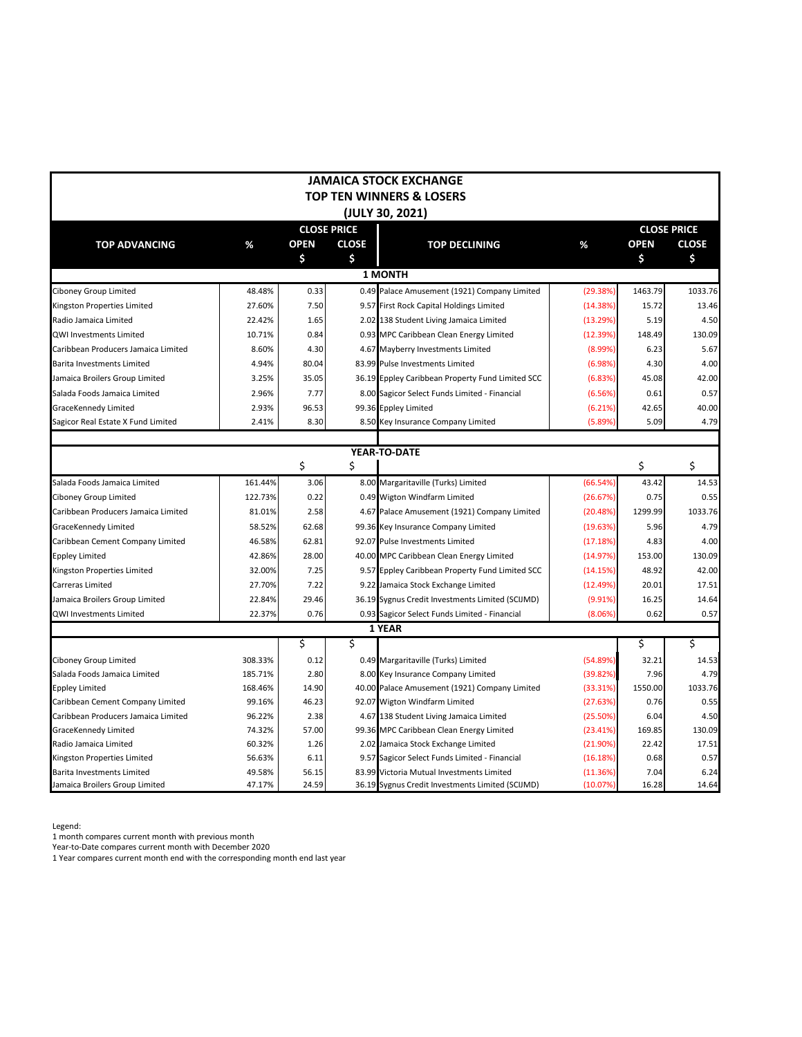|                                     |         |             |                    | <b>JAMAICA STOCK EXCHANGE</b>                    |            |             |                    |
|-------------------------------------|---------|-------------|--------------------|--------------------------------------------------|------------|-------------|--------------------|
|                                     |         |             |                    | <b>TOP TEN WINNERS &amp; LOSERS</b>              |            |             |                    |
|                                     |         |             |                    | (JULY 30, 2021)                                  |            |             |                    |
|                                     |         |             | <b>CLOSE PRICE</b> |                                                  |            |             | <b>CLOSE PRICE</b> |
| <b>TOP ADVANCING</b>                | %       | <b>OPEN</b> | <b>CLOSE</b>       | <b>TOP DECLINING</b>                             | %          | <b>OPEN</b> | <b>CLOSE</b>       |
|                                     |         | \$          | \$.                |                                                  |            | \$          | \$                 |
|                                     |         |             |                    | <b>1 MONTH</b>                                   |            |             |                    |
| Ciboney Group Limited               | 48.48%  | 0.33        |                    | 0.49 Palace Amusement (1921) Company Limited     | (29.38%)   | 1463.79     | 1033.76            |
| Kingston Properties Limited         | 27.60%  | 7.50        |                    | 9.57 First Rock Capital Holdings Limited         | (14.38%)   | 15.72       | 13.46              |
| Radio Jamaica Limited               | 22.42%  | 1.65        |                    | 2.02 138 Student Living Jamaica Limited          | (13.29%)   | 5.19        | 4.50               |
| <b>QWI Investments Limited</b>      | 10.71%  | 0.84        |                    | 0.93 MPC Caribbean Clean Energy Limited          | (12.39%)   | 148.49      | 130.09             |
| Caribbean Producers Jamaica Limited | 8.60%   | 4.30        |                    | 4.67 Mayberry Investments Limited                | (8.99%)    | 6.23        | 5.67               |
| <b>Barita Investments Limited</b>   | 4.94%   | 80.04       |                    | 83.99 Pulse Investments Limited                  | (6.98%)    | 4.30        | 4.00               |
| Jamaica Broilers Group Limited      | 3.25%   | 35.05       |                    | 36.19 Eppley Caribbean Property Fund Limited SCC | (6.83%)    | 45.08       | 42.00              |
| Salada Foods Jamaica Limited        | 2.96%   | 7.77        |                    | 8.00 Sagicor Select Funds Limited - Financial    | (6.56%)    | 0.61        | 0.57               |
| GraceKennedy Limited                | 2.93%   | 96.53       |                    | 99.36 Eppley Limited                             | (6.21%)    | 42.65       | 40.00              |
| Sagicor Real Estate X Fund Limited  | 2.41%   | 8.30        |                    | 8.50 Key Insurance Company Limited               | (5.89%     | 5.09        | 4.79               |
|                                     |         |             |                    |                                                  |            |             |                    |
|                                     |         |             |                    | YEAR-TO-DATE                                     |            |             |                    |
|                                     |         | \$          | \$                 |                                                  |            | \$          | \$                 |
| Salada Foods Jamaica Limited        | 161.44% | 3.06        |                    | 8.00 Margaritaville (Turks) Limited              | (66.54%)   | 43.42       | 14.53              |
| Ciboney Group Limited               | 122.73% | 0.22        |                    | 0.49 Wigton Windfarm Limited                     | (26.67%)   | 0.75        | 0.55               |
| Caribbean Producers Jamaica Limited | 81.01%  | 2.58        |                    | 4.67 Palace Amusement (1921) Company Limited     | (20.48%)   | 1299.99     | 1033.76            |
| GraceKennedy Limited                | 58.52%  | 62.68       |                    | 99.36 Key Insurance Company Limited              | (19.63%)   | 5.96        | 4.79               |
| Caribbean Cement Company Limited    | 46.58%  | 62.81       |                    | 92.07 Pulse Investments Limited                  | (17.18%)   | 4.83        | 4.00               |
| <b>Eppley Limited</b>               | 42.86%  | 28.00       |                    | 40.00 MPC Caribbean Clean Energy Limited         | (14.97%)   | 153.00      | 130.09             |
| Kingston Properties Limited         | 32.00%  | 7.25        |                    | 9.57 Eppley Caribbean Property Fund Limited SCC  | (14.15%)   | 48.92       | 42.00              |
| Carreras Limited                    | 27.70%  | 7.22        |                    | 9.22 Jamaica Stock Exchange Limited              | (12.49%)   | 20.01       | 17.51              |
| Jamaica Broilers Group Limited      | 22.84%  | 29.46       |                    | 36.19 Sygnus Credit Investments Limited (SCIJMD) | (9.91%)    | 16.25       | 14.64              |
| <b>QWI Investments Limited</b>      | 22.37%  | 0.76        |                    | 0.93 Sagicor Select Funds Limited - Financial    | $(8.06\%)$ | 0.62        | 0.57               |
|                                     |         |             |                    | <b>1 YEAR</b>                                    |            |             |                    |
|                                     |         | \$          | \$                 |                                                  |            | \$          | \$                 |
| Ciboney Group Limited               | 308.33% | 0.12        |                    | 0.49 Margaritaville (Turks) Limited              | (54.89%)   | 32.21       | 14.53              |
| Salada Foods Jamaica Limited        | 185.71% | 2.80        |                    | 8.00 Key Insurance Company Limited               | (39.82%)   | 7.96        | 4.79               |
| <b>Eppley Limited</b>               | 168.46% | 14.90       |                    | 40.00 Palace Amusement (1921) Company Limited    | (33.31%)   | 1550.00     | 1033.76            |
| Caribbean Cement Company Limited    | 99.16%  | 46.23       |                    | 92.07 Wigton Windfarm Limited                    | (27.63%)   | 0.76        | 0.55               |
| Caribbean Producers Jamaica Limited | 96.22%  | 2.38        |                    | 4.67 138 Student Living Jamaica Limited          | (25.50%)   | 6.04        | 4.50               |
| GraceKennedy Limited                | 74.32%  | 57.00       |                    | 99.36 MPC Caribbean Clean Energy Limited         | (23.41%)   | 169.85      | 130.09             |
| Radio Jamaica Limited               | 60.32%  | 1.26        |                    | 2.02 Jamaica Stock Exchange Limited              | (21.90%)   | 22.42       | 17.51              |
| Kingston Properties Limited         | 56.63%  | 6.11        |                    | 9.57 Sagicor Select Funds Limited - Financial    | (16.18%)   | 0.68        | 0.57               |
| Barita Investments Limited          | 49.58%  | 56.15       |                    | 83.99 Victoria Mutual Investments Limited        | (11.36%)   | 7.04        | $6.24$             |
| Jamaica Broilers Group Limited      | 47.17%  | 24.59       |                    | 36.19 Sygnus Credit Investments Limited (SCIJMD) | (10.07%)   | 16.28       | 14.64              |

Legend:

1 month compares current month with previous month

Year-to-Date compares current month with December 2020

1 Year compares current month end with the corresponding month end last year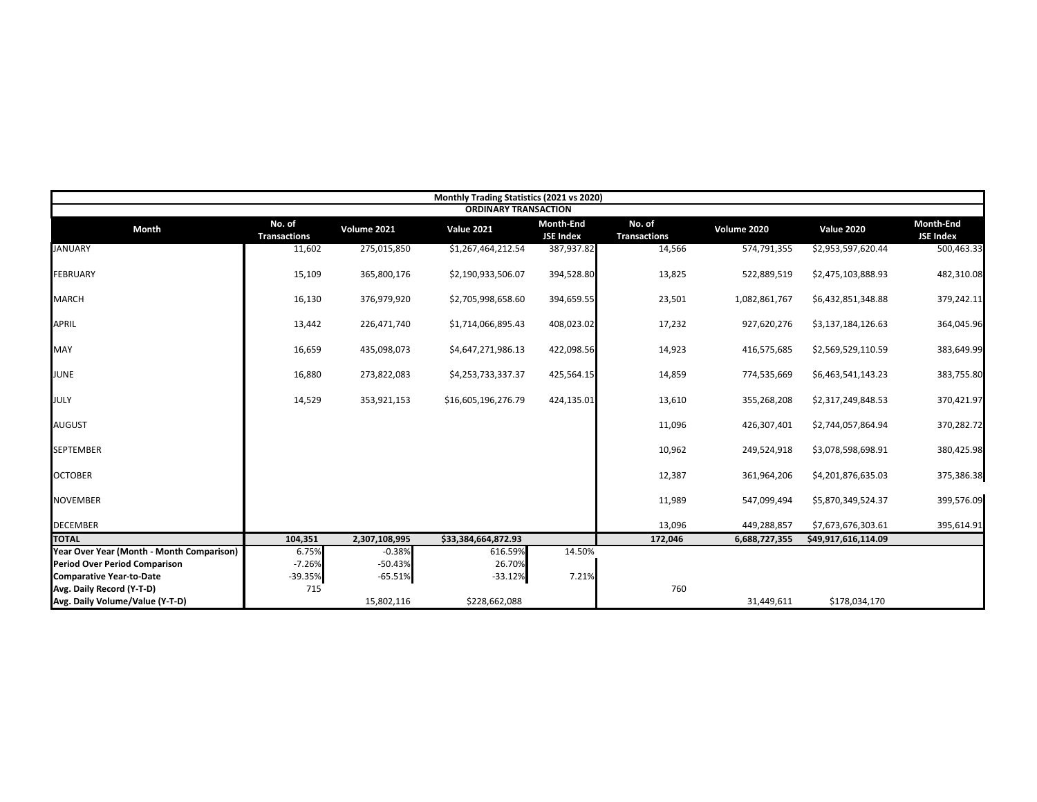|                                           |                               |               | Monthly Trading Statistics (2021 vs 2020) |                                      |                               |               |                     |                               |
|-------------------------------------------|-------------------------------|---------------|-------------------------------------------|--------------------------------------|-------------------------------|---------------|---------------------|-------------------------------|
|                                           |                               |               | <b>ORDINARY TRANSACTION</b>               |                                      |                               |               |                     |                               |
| <b>Month</b>                              | No. of<br><b>Transactions</b> | Volume 2021   | <b>Value 2021</b>                         | <b>Month-End</b><br><b>JSE Index</b> | No. of<br><b>Transactions</b> | Volume 2020   | <b>Value 2020</b>   | Month-End<br><b>JSE Index</b> |
| <b>JANUARY</b>                            | 11,602                        | 275,015,850   | \$1,267,464,212.54                        | 387,937.82                           | 14,566                        | 574,791,355   | \$2,953,597,620.44  | 500,463.33                    |
| <b>FEBRUARY</b>                           | 15,109                        | 365,800,176   | \$2,190,933,506.07                        | 394,528.80                           | 13,825                        | 522,889,519   | \$2,475,103,888.93  | 482,310.08                    |
| <b>MARCH</b>                              | 16,130                        | 376,979,920   | \$2,705,998,658.60                        | 394,659.55                           | 23,501                        | 1,082,861,767 | \$6,432,851,348.88  | 379,242.11                    |
| <b>APRIL</b>                              | 13,442                        | 226,471,740   | \$1,714,066,895.43                        | 408,023.02                           | 17,232                        | 927,620,276   | \$3,137,184,126.63  | 364,045.96                    |
| MAY                                       | 16,659                        | 435,098,073   | \$4,647,271,986.13                        | 422,098.56                           | 14,923                        | 416,575,685   | \$2,569,529,110.59  | 383,649.99                    |
| <b>JUNE</b>                               | 16,880                        | 273,822,083   | \$4,253,733,337.37                        | 425,564.15                           | 14,859                        | 774,535,669   | \$6,463,541,143.23  | 383,755.80                    |
| JULY                                      | 14,529                        | 353,921,153   | \$16,605,196,276.79                       | 424,135.01                           | 13,610                        | 355,268,208   | \$2,317,249,848.53  | 370,421.97                    |
| <b>AUGUST</b>                             |                               |               |                                           |                                      | 11,096                        | 426,307,401   | \$2,744,057,864.94  | 370,282.72                    |
| <b>SEPTEMBER</b>                          |                               |               |                                           |                                      | 10,962                        | 249,524,918   | \$3,078,598,698.91  | 380,425.98                    |
| <b>OCTOBER</b>                            |                               |               |                                           |                                      | 12,387                        | 361,964,206   | \$4,201,876,635.03  | 375,386.38                    |
| <b>NOVEMBER</b>                           |                               |               |                                           |                                      | 11,989                        | 547,099,494   | \$5,870,349,524.37  | 399,576.09                    |
| <b>DECEMBER</b>                           |                               |               |                                           |                                      | 13,096                        | 449,288,857   | \$7,673,676,303.61  | 395,614.91                    |
| <b>TOTAL</b>                              | 104,351                       | 2,307,108,995 | \$33,384,664,872.93                       |                                      | 172,046                       | 6,688,727,355 | \$49,917,616,114.09 |                               |
| Year Over Year (Month - Month Comparison) | 6.75%                         | $-0.38%$      | 616.59%                                   | 14.50%                               |                               |               |                     |                               |
| <b>Period Over Period Comparison</b>      | $-7.26%$                      | $-50.43%$     | 26.70%                                    |                                      |                               |               |                     |                               |
| <b>Comparative Year-to-Date</b>           | $-39.35%$                     | $-65.51%$     | $-33.12%$                                 | 7.21%                                |                               |               |                     |                               |
| Avg. Daily Record (Y-T-D)                 | 715                           |               |                                           |                                      | 760                           |               |                     |                               |
| Avg. Daily Volume/Value (Y-T-D)           |                               | 15,802,116    | \$228,662,088                             |                                      |                               | 31,449,611    | \$178,034,170       |                               |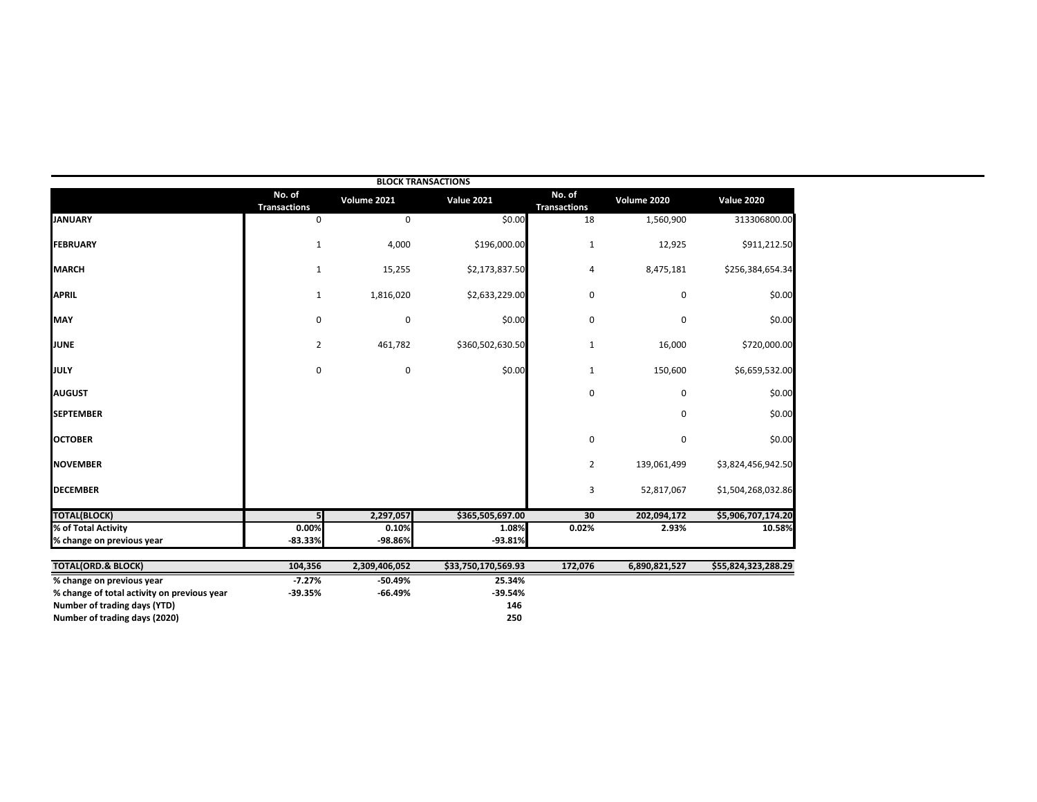|                                             |                               |               | <b>BLOCK TRANSACTIONS</b> |                               |               |                     |
|---------------------------------------------|-------------------------------|---------------|---------------------------|-------------------------------|---------------|---------------------|
|                                             | No. of<br><b>Transactions</b> | Volume 2021   | <b>Value 2021</b>         | No. of<br><b>Transactions</b> | Volume 2020   | <b>Value 2020</b>   |
| <b>JANUARY</b>                              | 0                             | 0             | \$0.00                    | 18                            | 1,560,900     | 313306800.00        |
| FEBRUARY                                    | $\mathbf{1}$                  | 4,000         | \$196,000.00              | $\mathbf{1}$                  | 12,925        | \$911,212.50        |
| <b>MARCH</b>                                | $\mathbf{1}$                  | 15,255        | \$2,173,837.50            | 4                             | 8,475,181     | \$256,384,654.34    |
| <b>APRIL</b>                                | $\mathbf{1}$                  | 1,816,020     | \$2,633,229.00            | 0                             | 0             | \$0.00              |
| <b>MAY</b>                                  | 0                             | $\pmb{0}$     | \$0.00                    | 0                             | 0             | \$0.00              |
| JUNE                                        | $\overline{2}$                | 461,782       | \$360,502,630.50          | $\mathbf{1}$                  | 16,000        | \$720,000.00        |
| JULY                                        | 0                             | 0             | \$0.00                    | 1                             | 150,600       | \$6,659,532.00      |
| <b>AUGUST</b>                               |                               |               |                           | 0                             | 0             | \$0.00              |
| <b>SEPTEMBER</b>                            |                               |               |                           |                               | 0             | \$0.00              |
| <b>OCTOBER</b>                              |                               |               |                           | 0                             | 0             | \$0.00              |
| <b>NOVEMBER</b>                             |                               |               |                           | 2                             | 139,061,499   | \$3,824,456,942.50  |
| <b>DECEMBER</b>                             |                               |               |                           | 3                             | 52,817,067    | \$1,504,268,032.86  |
| <b>TOTAL(BLOCK)</b>                         | 5                             | 2,297,057     | \$365,505,697.00          | 30                            | 202,094,172   | \$5,906,707,174.20  |
| % of Total Activity                         | 0.00%                         | 0.10%         | 1.08%                     | 0.02%                         | 2.93%         | 10.58%              |
| % change on previous year                   | $-83.33%$                     | -98.86%       | $-93.81%$                 |                               |               |                     |
| <b>TOTAL(ORD.&amp; BLOCK)</b>               | 104,356                       | 2,309,406,052 | \$33,750,170,569.93       | 172,076                       | 6,890,821,527 | \$55,824,323,288.29 |
| % change on previous year                   | $-7.27%$                      | $-50.49%$     | 25.34%                    |                               |               |                     |
| % change of total activity on previous year | $-39.35%$                     | $-66.49%$     | $-39.54%$                 |                               |               |                     |
| Number of trading days (YTD)                |                               |               | 146                       |                               |               |                     |
| Number of trading days (2020)               |                               |               | 250                       |                               |               |                     |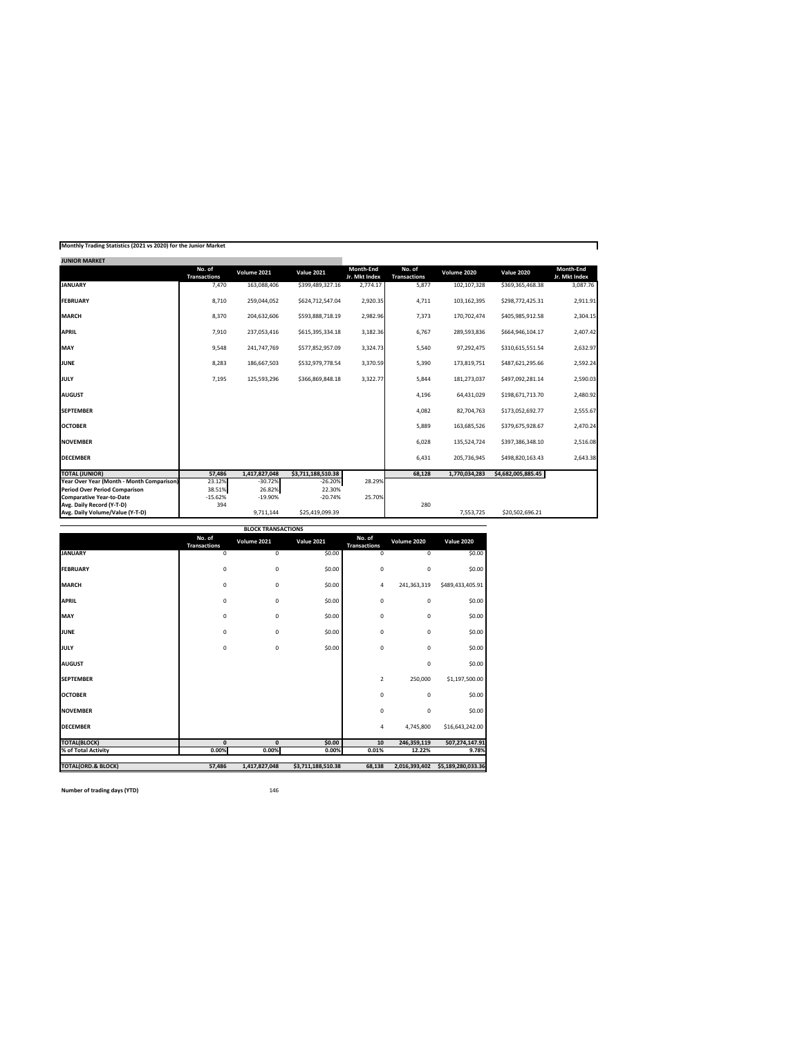| Monthly Trading Statistics (2021 vs 2020) for the Junior Market |  |  |  |
|-----------------------------------------------------------------|--|--|--|
|-----------------------------------------------------------------|--|--|--|

| <b>JUNIOR MARKET</b>                      |                               |               |                    |                            |                               |               |                    |                            |
|-------------------------------------------|-------------------------------|---------------|--------------------|----------------------------|-------------------------------|---------------|--------------------|----------------------------|
|                                           | No. of<br><b>Transactions</b> | Volume 2021   | <b>Value 2021</b>  | Month-End<br>Jr. Mkt Index | No. of<br><b>Transactions</b> | Volume 2020   | <b>Value 2020</b>  | Month-End<br>Jr. Mkt Index |
| <b>JANUARY</b>                            | 7,470                         | 163,088,406   | \$399,489,327.16   | 2,774.17                   | 5,877                         | 102,107,328   | \$369,365,468.38   | 3,087.76                   |
| <b>FEBRUARY</b>                           | 8,710                         | 259,044,052   | \$624,712,547.04   | 2,920.35                   | 4,711                         | 103,162,395   | \$298,772,425.31   | 2,911.91                   |
| <b>MARCH</b>                              | 8,370                         | 204,632,606   | \$593,888,718.19   | 2,982.96                   | 7,373                         | 170,702,474   | \$405,985,912.58   | 2,304.15                   |
| <b>APRIL</b>                              | 7,910                         | 237,053,416   | \$615,395,334.18   | 3,182.36                   | 6,767                         | 289,593,836   | \$664,946,104.17   | 2,407.42                   |
| <b>MAY</b>                                | 9,548                         | 241,747,769   | \$577,852,957.09   | 3,324.73                   | 5,540                         | 97,292,475    | \$310,615,551.54   | 2,632.97                   |
| <b>JUNE</b>                               | 8,283                         | 186,667,503   | \$532,979,778.54   | 3,370.59                   | 5,390                         | 173,819,751   | \$487,621,295.66   | 2,592.24                   |
| <b>JULY</b>                               | 7,195                         | 125,593,296   | \$366,869,848.18   | 3,322.77                   | 5,844                         | 181,273,037   | \$497,092,281.14   | 2,590.03                   |
| <b>AUGUST</b>                             |                               |               |                    |                            | 4,196                         | 64,431,029    | \$198,671,713.70   | 2,480.92                   |
| <b>SEPTEMBER</b>                          |                               |               |                    |                            | 4,082                         | 82,704,763    | \$173,052,692.77   | 2,555.67                   |
| <b>OCTOBER</b>                            |                               |               |                    |                            | 5,889                         | 163,685,526   | \$379,675,928.67   | 2,470.24                   |
| <b>NOVEMBER</b>                           |                               |               |                    |                            | 6,028                         | 135,524,724   | \$397,386,348.10   | 2,516.08                   |
| <b>DECEMBER</b>                           |                               |               |                    |                            | 6,431                         | 205,736,945   | \$498,820,163.43   | 2,643.38                   |
| <b>TOTAL (JUNIOR)</b>                     | 57,486                        | 1,417,827,048 | \$3,711,188,510.38 |                            | 68,128                        | 1,770,034,283 | \$4,682,005,885.45 |                            |
| Year Over Year (Month - Month Comparison) | 23.12%                        | $-30.72%$     | $-26.20%$          | 28.29%                     |                               |               |                    |                            |
| <b>Period Over Period Comparison</b>      | 38.51%                        | 26.82%        | 22.30%             |                            |                               |               |                    |                            |
| <b>Comparative Year-to-Date</b>           | $-15.62%$                     | $-19.90%$     | $-20.74%$          | 25.70%                     |                               |               |                    |                            |
| Avg. Daily Record (Y-T-D)                 | 394                           |               |                    |                            | 280                           |               |                    |                            |
| Avg. Daily Volume/Value (Y-T-D)           |                               | 9,711,144     | \$25,419,099.39    |                            |                               | 7,553,725     | \$20,502,696.21    |                            |

|                               |                               | <b>BLOCK TRANSACTIONS</b> |                    |                               |               |                    |
|-------------------------------|-------------------------------|---------------------------|--------------------|-------------------------------|---------------|--------------------|
|                               | No. of<br><b>Transactions</b> | Volume 2021               | <b>Value 2021</b>  | No. of<br><b>Transactions</b> | Volume 2020   | <b>Value 2020</b>  |
| <b>JANUARY</b>                | 0                             | 0                         | \$0.00             | 0                             | 0             | \$0.00             |
| <b>FEBRUARY</b>               | 0                             | 0                         | \$0.00             | $\pmb{0}$                     | 0             | \$0.00             |
| <b>MARCH</b>                  | 0                             | 0                         | \$0.00             | 4                             | 241,363,319   | \$489,433,405.91   |
| <b>APRIL</b>                  | 0                             | 0                         | \$0.00             | 0                             | 0             | \$0.00             |
| MAY                           | $\mathbf 0$                   | 0                         | \$0.00             | 0                             | 0             | \$0.00             |
| <b>JUNE</b>                   | 0                             | 0                         | \$0.00             | 0                             | 0             | \$0.00             |
| <b>JULY</b>                   | 0                             | 0                         | \$0.00             | 0                             | 0             | \$0.00             |
| <b>AUGUST</b>                 |                               |                           |                    |                               | 0             | \$0.00             |
| <b>SEPTEMBER</b>              |                               |                           |                    | $\overline{2}$                | 250,000       | \$1,197,500.00     |
| <b>OCTOBER</b>                |                               |                           |                    | 0                             | 0             | \$0.00             |
| <b>NOVEMBER</b>               |                               |                           |                    | 0                             | 0             | \$0.00             |
| <b>DECEMBER</b>               |                               |                           |                    | 4                             | 4,745,800     | \$16,643,242.00    |
| <b>TOTAL(BLOCK)</b>           | $\mathbf{0}$                  | $\mathbf{0}$              | \$0.00             | 10                            | 246,359,119   | 507,274,147.91     |
| % of Total Activity           | 0.00%                         | 0.00%                     | 0.00%              | 0.01%                         | 12.22%        | 9.78%              |
| <b>TOTAL(ORD.&amp; BLOCK)</b> | 57,486                        | 1,417,827,048             | \$3,711,188,510.38 | 68,138                        | 2,016,393,402 | \$5,189,280,033.36 |

**Number of trading days (YTD)** 146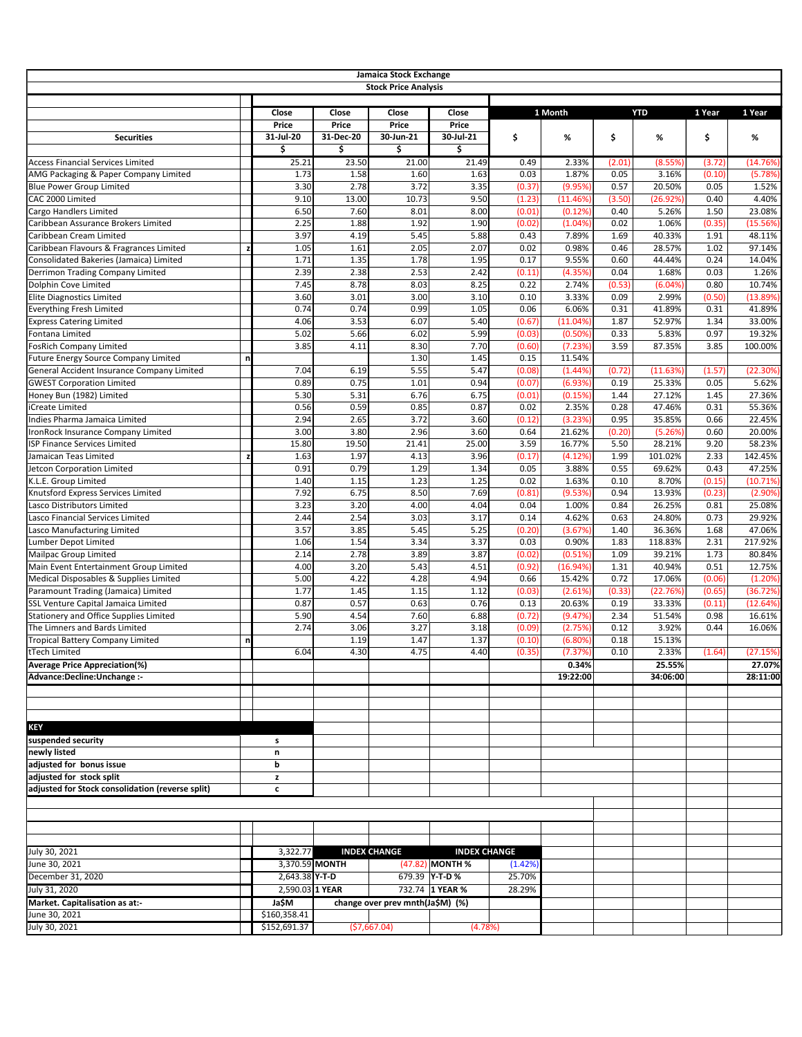|                                                                             |    |                              |                       | <b>Jamaica Stock Exchange</b><br><b>Stock Price Analysis</b> |                                          |                   |                   |              |                   |              |                  |
|-----------------------------------------------------------------------------|----|------------------------------|-----------------------|--------------------------------------------------------------|------------------------------------------|-------------------|-------------------|--------------|-------------------|--------------|------------------|
|                                                                             |    | <b>Close</b><br><b>Price</b> | Close<br><b>Price</b> | Close<br><b>Price</b>                                        | Close<br><b>Price</b>                    |                   | 1 Month           |              | <b>YTD</b>        | 1 Year       | 1 Year           |
| <b>Securities</b>                                                           |    | 31-Jul-20<br>\$              | 31-Dec-20<br>\$       | 30-Jun-21<br>\$                                              | 30-Jul-21<br>\$                          | \$                | %                 | \$           | %                 | \$           | %                |
| <b>Access Financial Services Limited</b>                                    |    | 25.21                        | 23.50                 | 21.00                                                        | 21.49                                    | 0.49              | 2.33%             | (2.01)       | (8.55%)           | (3.72)       | (14.76%)         |
| AMG Packaging & Paper Company Limited                                       |    | 1.73                         | 1.58                  | 1.60                                                         | 1.63                                     | 0.03              | 1.87%             | 0.05         | 3.16%             | (0.10)       | (5.78%)          |
| <b>Blue Power Group Limited</b>                                             |    | 3.30                         | 2.78                  | 3.72                                                         | 3.35                                     | (0.37)            | (9.95%)           | 0.57         | 20.50%            | 0.05         | 1.52%            |
| CAC 2000 Limited                                                            |    | 9.10                         | 13.00                 | 10.73                                                        | 9.50                                     | (1.23)            | (11.46%           | (3.50)       | (26.92%)          | 0.40         | 4.40%            |
| <b>Cargo Handlers Limited</b>                                               |    | 6.50                         | 7.60                  | 8.01                                                         | 8.00                                     | (0.01)            | (0.12%)           | 0.40         | 5.26%             | 1.50         | 23.08%           |
| Caribbean Assurance Brokers Limited                                         |    | 2.25                         | 1.88                  | 1.92                                                         | 1.90                                     | (0.02)            | (1.04%            | 0.02         | 1.06%             | (0.35)       | (15.56%)         |
| Caribbean Cream Limited                                                     |    | 3.97                         | 4.19                  | 5.45                                                         | 5.88                                     | 0.43              | 7.89%             | 1.69         | 40.33%            | 1.91         | 48.11%           |
| Caribbean Flavours & Fragrances Limited                                     |    | 1.05                         | 1.61                  | 2.05                                                         | 2.07                                     | 0.02              | 0.98%             | 0.46         | 28.57%            | 1.02         | 97.14%           |
| Consolidated Bakeries (Jamaica) Limited<br>Derrimon Trading Company Limited |    | 1.71<br>2.39                 | 1.35<br>2.38          | 1.78<br>2.53                                                 | 1.95<br>2.42                             | 0.17<br>(0.11)    | 9.55%<br>(4.35%   | 0.60<br>0.04 | 44.44%<br>1.68%   | 0.24<br>0.03 | 14.04%<br>1.26%  |
| Dolphin Cove Limited                                                        |    | 7.45                         | 8.78                  | 8.03                                                         | 8.25                                     | 0.22              | 2.74%             | (0.53)       | (6.04%            | 0.80         | 10.74%           |
| <b>Elite Diagnostics Limited</b>                                            |    | 3.60                         | 3.01                  | 3.00                                                         | 3.10                                     | 0.10              | 3.33%             | 0.09         | 2.99%             | (0.50)       | (13.89%)         |
| <b>Everything Fresh Limited</b>                                             |    | 0.74                         | 0.74                  | 0.99                                                         | 1.05                                     | 0.06              | 6.06%             | 0.31         | 41.89%            | 0.31         | 41.89%           |
| <b>Express Catering Limited</b>                                             |    | 4.06                         | 3.53                  | 6.07                                                         | 5.40                                     | (0.67)            | (11.04%           | 1.87         | 52.97%            | 1.34         | 33.00%           |
| Fontana Limited                                                             |    | 5.02                         | 5.66                  | 6.02                                                         | 5.99                                     | (0.03)            | (0.50%            | 0.33         | 5.83%             | 0.97         | 19.32%           |
| FosRich Company Limited                                                     |    | 3.85                         | 4.11                  | 8.30                                                         | 7.70                                     | (0.60)            | (7.23%            | 3.59         | 87.35%            | 3.85         | 100.00%          |
| <b>Future Energy Source Company Limited</b>                                 | n  |                              |                       | 1.30                                                         | 1.45                                     | 0.15              | 11.54%            |              |                   |              |                  |
| General Accident Insurance Company Limited                                  |    | 7.04                         | 6.19                  | 5.55                                                         | 5.47                                     | (0.08)            | (1.44%            | (0.72)       | (11.63%)          | (1.57)       | (22.30%)         |
| <b>GWEST Corporation Limited</b>                                            |    | 0.89                         | 0.75                  | 1.01                                                         | 0.94                                     | (0.07)            | (6.93%)           | 0.19         | 25.33%            | 0.05         | 5.62%            |
| Honey Bun (1982) Limited                                                    |    | 5.30                         | 5.31                  | 6.76                                                         | 6.75                                     | (0.01)            | (0.15%            | 1.44         | 27.12%            | 1.45         | 27.36%           |
| Create Limited                                                              |    | 0.56                         | 0.59                  | 0.85                                                         | 0.87                                     | 0.02              | 2.35%             | 0.28         | 47.46%            | 0.31         | 55.36%           |
| Indies Pharma Jamaica Limited                                               |    | 2.94                         | 2.65                  | 3.72                                                         | 3.60                                     | (0.12)            | (3.23%            | 0.95         | 35.85%            | 0.66         | 22.45%           |
| ronRock Insurance Company Limited                                           |    | 3.00                         | 3.80<br>19.50         | 2.96                                                         | 3.60                                     | 0.64<br>3.59      | 21.62%<br>16.77%  | (0.20)       | (5.26%)           | 0.60         | 20.00%<br>58.23% |
| <b>SP Finance Services Limited</b><br>Jamaican Teas Limited                 |    | 15.80<br>1.63                | 1.97                  | 21.41<br>4.13                                                | 25.00<br>3.96                            | (0.17)            | (4.12%)           | 5.50<br>1.99 | 28.21%<br>101.02% | 9.20<br>2.33 | 142.45%          |
| Jetcon Corporation Limited                                                  | z  | 0.91                         | 0.79                  | 1.29                                                         | 1.34                                     | 0.05              | 3.88%             | 0.55         | 69.62%            | 0.43         | 47.25%           |
| K.L.E. Group Limited                                                        |    | 1.40                         | 1.15                  | 1.23                                                         | 1.25                                     | 0.02              | 1.63%             | 0.10         | 8.70%             | (0.15)       | (10.71%)         |
| Knutsford Express Services Limited                                          |    | 7.92                         | 6.75                  | 8.50                                                         | 7.69                                     | (0.81)            | (9.53%)           | 0.94         | 13.93%            | (0.23)       | (2.90%)          |
| Lasco Distributors Limited                                                  |    | 3.23                         | 3.20                  | 4.00                                                         | 4.04                                     | 0.04              | 1.00%             | 0.84         | 26.25%            | 0.81         | 25.08%           |
| Lasco Financial Services Limited                                            |    | 2.44                         | 2.54                  | 3.03                                                         | 3.17                                     | 0.14              | 4.62%             | 0.63         | 24.80%            | 0.73         | 29.92%           |
| Lasco Manufacturing Limited                                                 |    | 3.57                         | 3.85                  | 5.45                                                         | 5.25                                     | (0.20)            | (3.67%)           | 1.40         | 36.36%            | 1.68         | 47.06%           |
| Lumber Depot Limited                                                        |    | 1.06                         | 1.54                  | 3.34                                                         | 3.37                                     | 0.03              | 0.90%             | 1.83         | 118.83%           | 2.31         | 217.92%          |
| Mailpac Group Limited                                                       |    | 2.14                         | 2.78                  | 3.89                                                         | 3.87                                     | (0.02)            | (0.51%)           | 1.09         | 39.21%            | 1.73         | 80.84%           |
| Main Event Entertainment Group Limited                                      |    | 4.00                         | 3.20                  | 5.43                                                         | 4.51                                     | (0.92)            | (16.94%)          | 1.31         | 40.94%            | 0.51         | 12.75%           |
| Medical Disposables & Supplies Limited                                      |    | 5.00                         | 4.22                  | 4.28                                                         | 4.94                                     | 0.66              | 15.42%            | 0.72         | 17.06%            | (0.06)       | (1.20%)          |
| Paramount Trading (Jamaica) Limited                                         |    | 1.77                         | 1.45                  | 1.15                                                         | 1.12                                     | (0.03)            | (2.61%)           | (0.33)       | (22.76%)          | (0.65)       | (36.72%)         |
| SSL Venture Capital Jamaica Limited                                         |    | 0.87                         | 0.57                  | 0.63                                                         | 0.76                                     | 0.13              | 20.63%            | 0.19         | 33.33%            | (0.11)       | (12.64%)         |
| Stationery and Office Supplies Limited                                      |    | 5.90                         | 4.54                  | 7.60                                                         | 6.88                                     | (0.72)            | (9.47%)           | 2.34         | 51.54%            | 0.98         | 16.61%           |
| The Limners and Bards Limited<br><b>Tropical Battery Company Limited</b>    | nl | 2.74                         | 3.06<br>1.19          | 3.27<br>1.47                                                 | 3.18<br>1.37                             | (0.09)<br>(0.10)  | (2.75%)<br>(6.80% | 0.12<br>0.18 | 3.92%<br>15.13%   | 0.44         | 16.06%           |
| tTech Limited                                                               |    | 6.04                         | 4.30                  | 4.75                                                         | 4.40                                     | (0.35)            | (7.37%            | 0.10         | 2.33%             | (1.64)       | (27.15%)         |
| <b>Average Price Appreciation(%)</b>                                        |    |                              |                       |                                                              |                                          |                   | 0.34%             |              | 25.55%            |              | 27.07%           |
| Advance:Decline:Unchange :-                                                 |    |                              |                       |                                                              |                                          |                   | 19:22:00          |              | 34:06:00          |              | 28:11:00         |
|                                                                             |    |                              |                       |                                                              |                                          |                   |                   |              |                   |              |                  |
| <b>KEY</b>                                                                  |    |                              |                       |                                                              |                                          |                   |                   |              |                   |              |                  |
| suspended security                                                          |    | s                            |                       |                                                              |                                          |                   |                   |              |                   |              |                  |
| newly listed                                                                |    | n                            |                       |                                                              |                                          |                   |                   |              |                   |              |                  |
| adjusted for bonus issue<br>adjusted for stock split                        |    | b                            |                       |                                                              |                                          |                   |                   |              |                   |              |                  |
| adjusted for Stock consolidation (reverse split)                            |    | z<br>$\mathbf c$             |                       |                                                              |                                          |                   |                   |              |                   |              |                  |
|                                                                             |    |                              |                       |                                                              |                                          |                   |                   |              |                   |              |                  |
|                                                                             |    |                              |                       |                                                              |                                          |                   |                   |              |                   |              |                  |
|                                                                             |    |                              |                       |                                                              |                                          |                   |                   |              |                   |              |                  |
|                                                                             |    |                              |                       |                                                              |                                          |                   |                   |              |                   |              |                  |
| July 30, 2021                                                               |    | 3,322.77                     |                       | <b>INDEX CHANGE</b>                                          | <b>INDEX CHANGE</b>                      |                   |                   |              |                   |              |                  |
| June 30, 2021                                                               |    | 2,643.38 Y-T-D               | 3,370.59 MONTH        |                                                              | (47.82) MONTH %<br>679.39 <b>Y-T-D %</b> | (1.42%)<br>25.70% |                   |              |                   |              |                  |
| December 31, 2020<br>July 31, 2020                                          |    | 2,590.03 1 YEAR              |                       |                                                              | 732.74 1 YEAR %                          | 28.29%            |                   |              |                   |              |                  |
| Market. Capitalisation as at:-                                              |    | Ja\$M                        |                       | change over prev mnth(Ja\$M) (%)                             |                                          |                   |                   |              |                   |              |                  |
| June 30, 2021                                                               |    | \$160,358.41                 |                       |                                                              |                                          |                   |                   |              |                   |              |                  |
| July 30, 2021                                                               |    | \$152,691.37                 |                       | ( \$7,667.04)                                                | (4.78%)                                  |                   |                   |              |                   |              |                  |
|                                                                             |    |                              |                       |                                                              |                                          |                   |                   |              |                   |              |                  |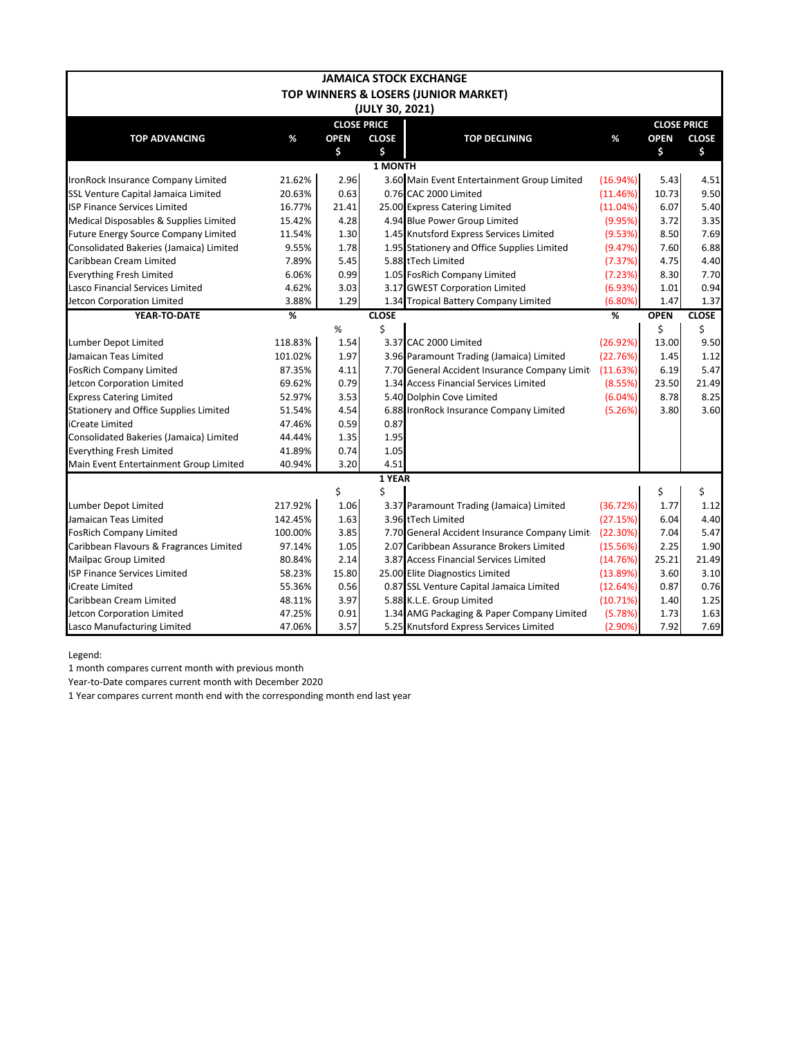|                                         |         |             |                    | <b>JAMAICA STOCK EXCHANGE</b>                 |          |                    |              |
|-----------------------------------------|---------|-------------|--------------------|-----------------------------------------------|----------|--------------------|--------------|
|                                         |         |             |                    | TOP WINNERS & LOSERS (JUNIOR MARKET)          |          |                    |              |
|                                         |         |             | (JULY 30, 2021)    |                                               |          |                    |              |
|                                         |         |             | <b>CLOSE PRICE</b> |                                               |          | <b>CLOSE PRICE</b> |              |
| <b>TOP ADVANCING</b>                    | %       | <b>OPEN</b> | <b>CLOSE</b>       | <b>TOP DECLINING</b>                          | %        | <b>OPEN</b>        | <b>CLOSE</b> |
|                                         |         | \$          | \$                 |                                               |          | \$                 | \$           |
|                                         |         |             | 1 MONTH            |                                               |          |                    |              |
| IronRock Insurance Company Limited      | 21.62%  | 2.96        |                    | 3.60 Main Event Entertainment Group Limited   | (16.94%) | 5.43               | 4.51         |
| SSL Venture Capital Jamaica Limited     | 20.63%  | 0.63        |                    | 0.76 CAC 2000 Limited                         | (11.46%) | 10.73              | 9.50         |
| <b>ISP Finance Services Limited</b>     | 16.77%  | 21.41       |                    | 25.00 Express Catering Limited                | (11.04%) | 6.07               | 5.40         |
| Medical Disposables & Supplies Limited  | 15.42%  | 4.28        |                    | 4.94 Blue Power Group Limited                 | (9.95%)  | 3.72               | 3.35         |
| Future Energy Source Company Limited    | 11.54%  | 1.30        |                    | 1.45 Knutsford Express Services Limited       | (9.53%)  | 8.50               | 7.69         |
| Consolidated Bakeries (Jamaica) Limited | 9.55%   | 1.78        |                    | 1.95 Stationery and Office Supplies Limited   | (9.47%)  | 7.60               | 6.88         |
| Caribbean Cream Limited                 | 7.89%   | 5.45        |                    | 5.88 tTech Limited                            | (7.37%)  | 4.75               | 4.40         |
| <b>Everything Fresh Limited</b>         | 6.06%   | 0.99        |                    | 1.05 FosRich Company Limited                  | (7.23%)  | 8.30               | 7.70         |
| Lasco Financial Services Limited        | 4.62%   | 3.03        |                    | 3.17 GWEST Corporation Limited                | (6.93%)  | 1.01               | 0.94         |
| Jetcon Corporation Limited              | 3.88%   | 1.29        |                    | 1.34 Tropical Battery Company Limited         | (6.80%)  | 1.47               | 1.37         |
| YEAR-TO-DATE                            | %       |             | <b>CLOSE</b>       |                                               | %        | <b>OPEN</b>        | <b>CLOSE</b> |
|                                         |         | %           | \$                 |                                               |          | \$                 | \$           |
| Lumber Depot Limited                    | 118.83% | 1.54        |                    | 3.37 CAC 2000 Limited                         | (26.92%) | 13.00              | 9.50         |
| Jamaican Teas Limited                   | 101.02% | 1.97        |                    | 3.96 Paramount Trading (Jamaica) Limited      | (22.76%) | 1.45               | 1.12         |
| <b>FosRich Company Limited</b>          | 87.35%  | 4.11        |                    | 7.70 General Accident Insurance Company Limit | (11.63%) | 6.19               | 5.47         |
| Jetcon Corporation Limited              | 69.62%  | 0.79        |                    | 1.34 Access Financial Services Limited        | (8.55%)  | 23.50              | 21.49        |
| <b>Express Catering Limited</b>         | 52.97%  | 3.53        |                    | 5.40 Dolphin Cove Limited                     | (6.04%)  | 8.78               | 8.25         |
| Stationery and Office Supplies Limited  | 51.54%  | 4.54        |                    | 6.88 IronRock Insurance Company Limited       | (5.26%)  | 3.80               | 3.60         |
| iCreate Limited                         | 47.46%  | 0.59        | 0.87               |                                               |          |                    |              |
| Consolidated Bakeries (Jamaica) Limited | 44.44%  | 1.35        | 1.95               |                                               |          |                    |              |
| <b>Everything Fresh Limited</b>         | 41.89%  | 0.74        | 1.05               |                                               |          |                    |              |
| Main Event Entertainment Group Limited  | 40.94%  | 3.20        | 4.51               |                                               |          |                    |              |
|                                         |         |             | 1 YEAR             |                                               |          |                    |              |
|                                         |         | \$          | \$                 |                                               |          | \$                 | \$           |
| Lumber Depot Limited                    | 217.92% | 1.06        |                    | 3.37 Paramount Trading (Jamaica) Limited      | (36.72%) | 1.77               | 1.12         |
| Jamaican Teas Limited                   | 142.45% | 1.63        |                    | 3.96 tTech Limited                            | (27.15%) | 6.04               | 4.40         |
| <b>FosRich Company Limited</b>          | 100.00% | 3.85        |                    | 7.70 General Accident Insurance Company Limit | (22.30%) | 7.04               | 5.47         |
| Caribbean Flavours & Fragrances Limited | 97.14%  | 1.05        |                    | 2.07 Caribbean Assurance Brokers Limited      | (15.56%) | 2.25               | 1.90         |
| <b>Mailpac Group Limited</b>            | 80.84%  | 2.14        |                    | 3.87 Access Financial Services Limited        | (14.76%) | 25.21              | 21.49        |
| <b>ISP Finance Services Limited</b>     | 58.23%  | 15.80       |                    | 25.00 Elite Diagnostics Limited               | (13.89%) | 3.60               | 3.10         |
| iCreate Limited                         | 55.36%  | 0.56        |                    | 0.87 SSL Venture Capital Jamaica Limited      | (12.64%) | 0.87               | 0.76         |
| Caribbean Cream Limited                 | 48.11%  | 3.97        |                    | 5.88 K.L.E. Group Limited                     | (10.71%) | 1.40               | 1.25         |
| Jetcon Corporation Limited              | 47.25%  | 0.91        |                    | 1.34 AMG Packaging & Paper Company Limited    | (5.78%)  | 1.73               | 1.63         |
| Lasco Manufacturing Limited             | 47.06%  | 3.57        |                    | 5.25 Knutsford Express Services Limited       | (2.90%)  | 7.92               | 7.69         |

Legend:

1 month compares current month with previous month

Year-to-Date compares current month with December 2020

1 Year compares current month end with the corresponding month end last year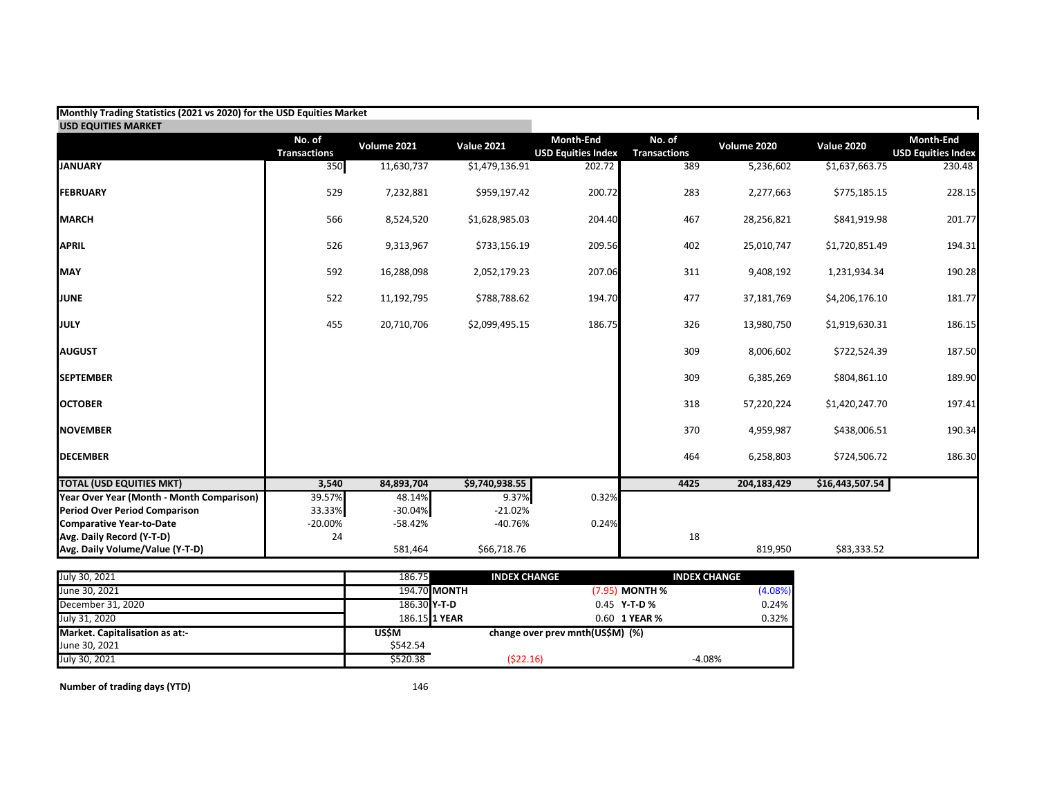| Monthly Trading Statistics (2021 vs 2020) for the USD Equities Market |                               |             |                   |                                               |                               |             |                   |                                               |
|-----------------------------------------------------------------------|-------------------------------|-------------|-------------------|-----------------------------------------------|-------------------------------|-------------|-------------------|-----------------------------------------------|
| <b>USD EQUITIES MARKET</b>                                            |                               |             |                   |                                               |                               |             |                   |                                               |
|                                                                       | No. of<br><b>Transactions</b> | Volume 2021 | <b>Value 2021</b> | <b>Month-End</b><br><b>USD Equities Index</b> | No. of<br><b>Transactions</b> | Volume 2020 | <b>Value 2020</b> | <b>Month-End</b><br><b>USD Equities Index</b> |
| <b>JANUARY</b>                                                        | 350                           | 11,630,737  | \$1,479,136.91    | 202.72                                        | 389                           | 5,236,602   | \$1,637,663.75    | 230.48                                        |
| <b>FEBRUARY</b>                                                       | 529                           | 7,232,881   | \$959,197.42      | 200.72                                        | 283                           | 2,277,663   | \$775,185.15      | 228.15                                        |
| <b>MARCH</b>                                                          | 566                           | 8,524,520   | \$1,628,985.03    | 204.40                                        | 467                           | 28,256,821  | \$841,919.98      | 201.77                                        |
| <b>APRIL</b>                                                          | 526                           | 9,313,967   | \$733,156.19      | 209.56                                        | 402                           | 25,010,747  | \$1,720,851.49    | 194.31                                        |
| <b>MAY</b>                                                            | 592                           | 16,288,098  | 2,052,179.23      | 207.06                                        | 311                           | 9,408,192   | 1,231,934.34      | 190.28                                        |
| <b>JUNE</b>                                                           | 522                           | 11,192,795  | \$788,788.62      | 194.70                                        | 477                           | 37,181,769  | \$4,206,176.10    | 181.77                                        |
| <b>JULY</b>                                                           | 455                           | 20,710,706  | \$2,099,495.15    | 186.75                                        | 326                           | 13,980,750  | \$1,919,630.31    | 186.15                                        |
| <b>AUGUST</b>                                                         |                               |             |                   |                                               | 309                           | 8,006,602   | \$722,524.39      | 187.50                                        |
| <b>SEPTEMBER</b>                                                      |                               |             |                   |                                               | 309                           | 6,385,269   | \$804,861.10      | 189.90                                        |
| <b>OCTOBER</b>                                                        |                               |             |                   |                                               | 318                           | 57,220,224  | \$1,420,247.70    | 197.41                                        |
| <b>NOVEMBER</b>                                                       |                               |             |                   |                                               | 370                           | 4,959,987   | \$438,006.51      | 190.34                                        |
| <b>DECEMBER</b>                                                       |                               |             |                   |                                               | 464                           | 6,258,803   | \$724,506.72      | 186.30                                        |
| <b>TOTAL (USD EQUITIES MKT)</b>                                       | 3,540                         | 84,893,704  | \$9,740,938.55    |                                               | 4425                          | 204,183,429 | \$16,443,507.54   |                                               |
| Year Over Year (Month - Month Comparison)                             | 39.57%                        | 48.14%      | 9.37%             | 0.32%                                         |                               |             |                   |                                               |
| <b>Period Over Period Comparison</b>                                  | 33.33%                        | $-30.04%$   | $-21.02%$         |                                               |                               |             |                   |                                               |
| <b>Comparative Year-to-Date</b>                                       | $-20.00%$                     | $-58.42%$   | $-40.76%$         | 0.24%                                         |                               |             |                   |                                               |
| Avg. Daily Record (Y-T-D)                                             | 24                            |             |                   |                                               | 18                            |             |                   |                                               |
| Avg. Daily Volume/Value (Y-T-D)                                       |                               | 581,464     | \$66,718.76       |                                               |                               | 819,950     | \$83,333.52       |                                               |

| July 30, 2021                  | 186.75       | <b>INDEX CHANGE</b>              |                | <b>INDEX CHANGE</b> |
|--------------------------------|--------------|----------------------------------|----------------|---------------------|
| June 30, 2021                  |              | 194.70 MONTH                     | (7.95) MONTH % | $(4.08\%)$          |
| December 31, 2020              | 186.30 Y-T-D |                                  | $0.45$ Y-T-D%  | 0.24%               |
| July 31, 2020                  |              | 186.15 1 YEAR                    | 0.60 1 YEAR %  | 0.32%               |
| Market. Capitalisation as at:- | USŚM         | change over prev mnth(US\$M) (%) |                |                     |
| June 30, 2021                  | \$542.54     |                                  |                |                     |
| July 30, 2021                  | \$520.38     | (522.16)                         |                | $-4.08%$            |

**Number of trading days (YTD)** 146